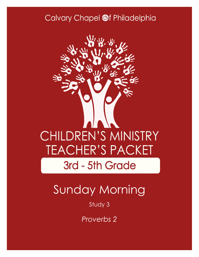### Calvary Chapel @f Philadelphia



# Sunday Morning

### Study 3

*Proverbs 2*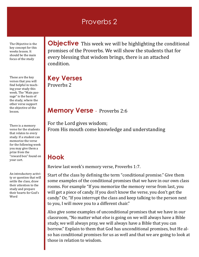### Proverbs 2

The Objective is the key concept for this weeks lesson. It should be the main focus of the study

These are the key verses that you will find helpful in teaching your study this week. The "Main passage" is the basis of the study, where the other verse support the objective of the lesson.

There is a memory verse for the students that relates to every study. If a student can memorize the verse for the following week you may give them a prize from the "reward box" found on your cart.

An introductory activity or question that will settle the class, draw their attention to the study and prepare their hearts for God's Word

**Objective** This week we will be highlighting the conditional promises of the Proverbs. We will show the students that for every blessing that wisdom brings, there is an attached condition.

**Key Verses** Proverbs 2

#### **Memory Verse** - Proverbs 2:6

For the Lord gives wisdom; From His mouth come knowledge and understanding

#### **Hook**

Review last week's memory verse, Proverbs 1:7.

Start of the class by defining the term "conditional promise." Give them some examples of the conditional promises that we have in our own class rooms. For example "If you memorize the memory verse from last, you will get a piece of candy. If you don't know the verse, you don't get the candy." Or, "If you interrupt the class and keep talking to the person next to you, I will move you to a different chair."

Also give some examples of unconditional promises that we have in our classroom, "No matter what else is going on we will always have a Bible study, we will always pray, we will always have a Bible that you can borrow." Explain to them that God has unconditional promises, but He also has conditional promises for us as well and that we are going to look at those in relation to wisdom.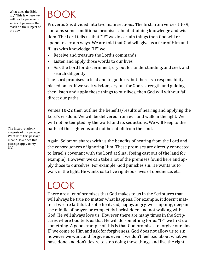What does the Bible say? This is where we will read a passage or series of passages that teach on the subject of the day.

The interpretation/ exegesis of the passage. What does this passage mean? How does this passage apply to my life?

# BOOK

Proverbs 2 is divided into two main sections. The first, from verses 1 to 9, contains some conditional promises about attaining knowledge and wisdom. The Lord tells us that "IF" we do certain things then God will respond in certain ways. We are told that God will give us a fear of Him and fill us with knowledge "IF" we:

- Receive and treasure the Lord's commands
- Listen and apply those words to our lives
- Ask the Lord for discernment, cry out for understanding, and seek and search diligently

The Lord promises to lead and to guide us, but there is a responsibility placed on us. If we seek wisdom, cry out for God's strength and guiding, then listen and apply those things to our lives, then God will without fail direct our paths.

Verses 10-22 then outline the benefits/results of hearing and applying the Lord's wisdom. We will be delivered from evil and walk in the light. We will not be tempted by the world and its seductions. We will keep to the paths of the righteous and not be cut off from the land.

Again, Solomon shares with us the benefits of hearing from the Lord and the consequences of ignoring Him. These promises are directly connected to Israel's covenant with the Lord at Sinai (being cast out of the land for example). However, we can take a lot of the premises found here and apply those to ourselves. For example, God punishes sin, He wants us to walk in the light, He wants us to live righteous lives of obedience, etc.

# LOOK

There are a lot of promises that God makes to us in the Scriptures that will always be true no matter what happens. For example, it doesn't matter if we are faithful, disobedient, sad, happy, angry, worshipping, deep in the middle of prayer, or completely backslidden and not walking with God. He will always love us. However there are many times in the Scriptures where God tells us that He will do something for us "IF" we first do something. A good example of this is that God promises to forgive our sins IF we come to Him and ask for forgiveness. God does not allow us to sin however we want and forgive us even if we don't feel bad about what we have done and don't desire to stop doing those things and live the right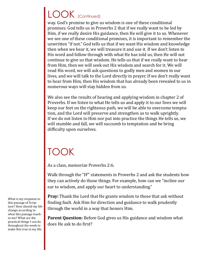# LOOK (Continued)

way. God's promise to give us wisdom is one of these conditional promises. God tells us in Proverbs 2 that if we really want to be led by Him, if we really desire His guidance, then He will give it to us. Whenever we see one of these conditional promises, it is important to remember the unwritten "if not." God tells us that if we want His wisdom and knowledge then when we hear it, we will treasure it and use it. If we don't listen to His word and follow through with what He has told us, then He will not continue to give us that wisdom. He tells us that if we really want to hear from Him, then we will seek out His wisdom and search for it. We will read His word, we will ask questions to godly men and women in our lives, and we will talk to the Lord directly in prayer. If we don't really want to hear from Him, then His wisdom that has already been revealed to us in numerous ways will stay hidden from us.

We also see the results of hearing and applying wisdom in chapter 2 of Proverbs. If we listen to what He tells us and apply it to our lives we will keep our feet on the righteous path, we will be able to overcome temptation, and the Lord will preserve and strengthen us to walk uprightly. If we do not listen to Him nor put into practice the things He tells us, we will stumble and fall, we will succumb to temptation and be bring difficulty upon ourselves.

## TOOK

As a class, memorize Proverbs 2:6.

Walk through the "IF" statements in Proverbs 2 and ask the students how they can actively do those things. For example, how can we "incline our ear to wisdom, and apply our heart to understanding."

**Pray:** Thank the Lord that He grants wisdom to those that ask without finding fault. Ask Him for direction and guidance to walk prudently through the world in a way that honors Him.

**Parent Question:** Before God gives us His guidance and wisdom what does He ask to do first?

What is my response to this passage of Scripture? How should my life change according to what this passage teaches me? What are the practical things I can do throughout the week to make this true in my life.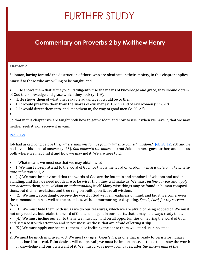# FURTHER STUDY

### **Commentary on Proverbs 2 by Matthew Henry**

#### **Chapter 2**

Solomon, having foretold the destruction of those who are obstinate in their impiety, in this chapter applies himself to those who are willing to be taught; and,

- I. He shows them that, if they would diligently use the means of knowledge and grace, they should obtain of God the knowledge and grace which they seek (v. 1-9).
- II. He shows them of what unspeakable advantage it would be to them.
- 1. It would preserve them from the snares of evil men (v. 10-15) and of evil women (v. 16-19).
- 2. It would direct them into, and keep them in, the way of good men (v. 20-22).
- $\bullet$

So that in this chapter we are taught both how to get wisdom and how to use it when we have it, that we may neither seek it, nor receive it in vain.

#### [Pro 2:1](https://www.blueletterbible.org/kjv/proverbs/2/1/s_630001)-9

Job had asked, long before this, *Where shall wisdom be found? Whence cometh wisdom?* [\(Job 28:12,](https://www.blueletterbible.org/kjv/job/28/12/s_464012) 20) and he had given this general answer (v. 23), *God knoweth the place* of it; but Solomon here goes further, and tells us both where we may find it and how we may get it. We are here told,

- I. What means we must use that we may obtain wisdom.
- 1. We must closely attend to the word of God, for that is the word of wisdom, *which is ableto make us wise unto salvation,* v. 1, 2.
- (1.) We must be convinced that the words of God are the fountain and standard of wisdom and understanding, and that we need not desire to be wiser than they will make us. We must *incline our ear* and *apply our hearts* to them, as to *wisdom* or *understanding* itself. Many wise things may be found in human compositions, but divine revelation, and true religion built upon it, are all wisdom.
- (2.) We must, accordingly, receive the word of God with all readiness of mind, and bid it welcome, even the commandments as well as the promises, without murmuring or disputing. *Speak, Lord, for thy servant hears.*
- (3.) We must hide them with us, as we do our treasures, which we are afraid of being robbed of. We must not only receive, but retain, the word of God, and lodge it in our hearts, that it may be always ready to us.
- (4.) We must incline our ear to them; we must lay hold on all opportunities of hearing the word of God, and listen to it with attention and seriousness, as those that are afraid of letting it slip.
- (5.) We must apply our hearts to them, else inclining the ear to them will stand us in no stead.
- $\bullet$
- 2. We must be much in prayer, v. 3. We must *cry after knowledge,* as one that is ready to perish for hunger begs hard for bread. Faint desires will not prevail; we must be importunate, as those that know the worth of knowledge and our own want of it. We must cry, as new-born babes, after *the sincere milk of the*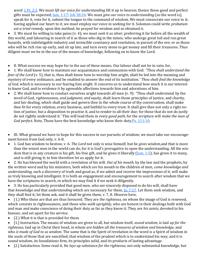*word.* [1 Pt. 2:2.](https://www.blueletterbible.org/kjv/1peter/2/2/s_1153002) We must *lift our voice for understanding* lift it up to heaven; thence these good and perfect gifts must be expected, [Jam. 1:17;](https://www.blueletterbible.org/kjv/james/1/17/s_1147017) [Job 38:34.](https://www.blueletterbible.org/kjv/job/38/34/s_474034) We must *give our voice to understanding* (so the word is), speak for it, vote for it, submit the tongue to the command of wisdom. We must consecrate our voice to it; having applied our heart to it, we must employ our voice in seeking for it. Solomon could write *probatum est-a tried remedy,* upon this method; he prayed for wisdom and so obtained it.

 3. We must be willing to take pains (v. 4); we must *seek it as silver,* preferring it far before all the wealth of this world, and labouring in search of it as those who dig in the mines, who undergo great toil and run great hazards, with indefatigable industry and invincible constancy and resolution, in pursuit of the ore; or as those who will be rich rise up early, and sit up late, and turn every stone to get money and fill their treasures. Thus diligent must we be in the use of the means of knowledge, following on to know the Lord.

II. What success we may hope for in the use of these means. Our labour shall not be in vain; for,

 1. We shall know how to maintain our acquaintance and communion with God: *"Thou shalt understand the fear of the Lord* (v. 5), that is, thou shalt know how to worship him aright, shalt be led into the meaning and mystery of every ordinance, and be enabled to answer the end of its institution.' *Thou shalt find the knowledge of God,* which is necessary to our fearing him aright. It concerns us to understand how much it is our interest to know God, and to evidence it by agreeable affections towards him and adorations of him.

 2. We shall know how to conduct ourselves aright towards all men (v. 9): *"Thou shalt understand,* by the word of God, *righteousness, and judgment, and equity,* shalt learn those principles of justice, and charity, and fair dealing, which shall guide and govern thee in the whole course of thy conversation, shall make thee fit for every relation, every business, and faithful to every trust. It shall give thee not only a right notion of justice, but a disposition to practise it, and to render to all their due; for those that do not do justly do not rightly understand it.' This will lead them in *every good path,* for the scripture will *make the man of God perfect.* Note, Those have the best knowledge who know their duty, *Ps.* 111:10.

 III. What ground we have to hope for this success in our pursuits of wisdom; we must take our encouragement herein from God only, v. 6-8.

- 1. God has wisdom to bestow, v. 6. *The Lord* not only is wise himself, but he *gives wisdom,*and that is more than the wisest men in the world can do, for it is God's prerogative to open the understanding. All the wisdom that is in any creature is his gift, his free gift, and he gives it liberally ( $\text{lam. } 1:5$ ), has given it to many, and is still giving it; to him therefore let us apply for it.
- 2. He has blessed the world with a revelation of his will. *Out of his mouth,* by the law and the prophets, by the written word and by his ministers, both which are his mouth to the children of men, *come knowledge and understanding,* such a discovery of truth and good as, if we admit and receive the impressions of it, will make us truly knowing and intelligent. It is both an engagement and encouragement to search after wisdom that we have the scriptures to search, in which we may find it if we seek it diligently.

 3. He has particularly provided that good men, who are sincerely disposed to do his will, shall have that *knowledge and* that *understanding* which are necessary for them, [Jn. 7:17.](https://www.blueletterbible.org/kjv/john/7/17/s_1004017) Let them seek wisdom, and they shall find it; let them ask, and it shall be given them, v. 7, 8. Observe here,

 (1.) Who those are that are thus favoured. They are *the righteous,* on whom the image of God is renewed, which consists in righteousness, and those who *walk uprightly,* who are honest in their dealings both with God and man and make conscience of doing their duty as far as they know it. They are *his saints,* devoted to his honour, and set apart for his service.

(2.) What it is that is provided for them.

 [1.] Instruction. The means of wisdom are given to all, but wisdom itself, *sound wisdom,* is laid *up for the righteous,* laid up in Christ their head, in whom *are hidden all the treasures of wisdom and knowledge,* and who *is made of God to us wisdom.* The same that is the Spirit of revelation in the word is a Spirit of wisdom in the souls of those that are sanctified, that wisdom of the prudent which is to understand his way; and it is sound wisdom, its foundations firm, its principles solid, and its products of lasting advantage.

[2.] Satisfaction. Some read it, He *lays up substance for the righteous,* not only substantial knowledge, but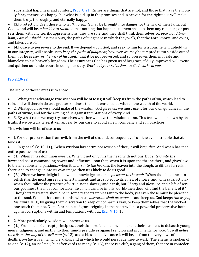substantial happiness and comfort, **Prov. 8:21**. Riches are things that are not, and those that have them only fancy themselves happy; but what is laid up in the promises and in heaven for the righteous will make them truly, thoroughly, and eternally happy.

 [3.] Protection. Even those who *walk uprightly* may be brought into danger for the trial of their faith, but God is, and will be, *a buckler to them,* so that nothing that happens to them shall do them any real hurt, or possess them with any terrific apprehensions; they are safe, and they shall think themselves so. *Fear not, Abraham; I am thy shield.* It is their way, the paths of judgment in which they walk, that the Lord knows, and owns, and takes care of.

 [4.] Grace to persevere to the end. If we depend upon God, and seek to him for wisdom, he will uphold us in our integrity, will enable us to *keep the paths of judgment,* however we may be tempted to turn aside out of them; for he *preserves the way of his saints,* that it be not perverted, and so preserves them in it safe and blameless to his heavenly kingdom. The assurances God has given us of his grace, if duly improved, will excite and quicken our endeavours in doing our duty. *Work out your salvation,* for *God works in you.*

#### [Pro 2:10](https://www.blueletterbible.org/kjv/proverbs/2/10/s_630010)-22

The scope of these verses is to show,

- 1. What great advantage true wisdom will be of to us; it will keep us from the paths of sin, which lead to ruin, and will therein do us a greater kindness than if it enriched us with all the wealth of the world.
- 2. What good use we should make of the wisdom God gives us; we must use it for our own guidance in the paths of virtue, and for the arming of us against temptations of every kind.
- 3. By what rules we may try ourselves whether we have this wisdom or no. This tree will be known by its fruits; if we be truly wise, it will appear by our care to avoid all evil company and evil practices.

This wisdom will be of use to us,

 I. For our preservation from evil, from the evil of sin, and, consequently, from the evil of trouble that attends it.

 1. In general (v. 10, 11), "When wisdom has entire possession of thee, it will *keep thee.'*And when has it an entire possession of us?

 (1.) When it has dominion over us. When it not only fills the head with notions, but *enters into the heart* and has a commanding power and influence upon that,-when it is upon the throne there, and gives law to the affections and passions,-when it *enters into the heart* as the leaven into the dough, to diffuse its relish there, and to change it into its own image-then it is likely to do us good.

- (2.) When we have delight in it, when knowledge becomes *pleasant to the soul:* "When thou beginnest to relish it as the most agreeable entertainment, and art subject to its rules, of choice, and with satisfaction, when thou callest the practice of virtue, not a slavery and a task, but *liberty* and *pleasure,* and a life of serious godliness the most comfortable life a man can live in this world,-then thou wilt find the benefit of it.' Though its restraints should be in some respects unpleasant to the body, yet even those must be pleasant to the soul. When it has come to this, with us, *discretion shall preserve* us and keep us. God keeps *the way of his saints* (v. 8), by giving them discretion to keep out of harm's way, to keep themselves that the wicked one touch them not. Note, A principle of grace reigning in the heart will be a powerful preservative both against corruptions within and temptations without, **Eccl.** 9:16, 18.
- $\bullet$
- 2. More particularly, wisdom will preserve us,

 (1.) From men of corrupt principles, atheistical profane men, who make it their business to debauch young men's judgments, and instil into their minds prejudices against religion and arguments for vice: "It will *deliver thee from the way of the evil man* (v. 12), and a blessed deliverance it will be, as from the very jaws of death, *from the way* in which he walks, and in which he would persuade thee to walk.' The enemy is spoken of as one (v. 12), an *evil man,* but afterwards as many (v. 13); there is a club, a gang of them, that are in confeder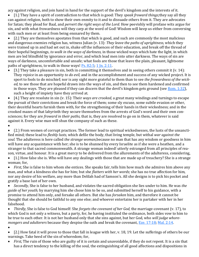acy against religion, and join hand in hand for the support of the devil's kingdom and the interests of it.

 [1.] They have a spirit of contradiction to that which is good: They *speak froward things;*they say all they can against religion, both to show their own enmity to it and to dissuade others from it. They are advocates for Satan; they plead for Baal, and *pervert the right ways of the Lord.* How peevishly will profane wits argue for sin, and with what frowardness will they carp at the word of God! Wisdom will keep us either from conversing with such men or at least from being ensnared by them.

• [2.] They are themselves apostates from that which is good, and such are commonly the most malicious and dangerous enemies religion has, witness Julian (v. 13): *They leave the paths of uprightness,* which they were trained up in and had set out in, shake off the influences of their education, and break off the thread of their hopeful beginnings, *to walk in the ways of darkness,* in those wicked ways which hate the light, in which men are led blindfold by ignorance and error, and which lead men into utter darkness. The ways of sin are ways of darkness, uncomfortable and unsafe; what fools are those that leave the plain, pleasant, lightsome paths of uprightness, to walk in those ways!  $Ps. 82:5; 1 In. 2:11$  $Ps. 82:5; 1 In. 2:11$ .

 $\bullet$  [3.] They take a pleasure in sin, both in committing it themselves and in seeing others commit it (v. 14): They *rejoice* in an opportunity *to do evil,* and in the accomplishment and success of any wicked project. It is sport to fools to do mischief; nor is any sight more grateful to them than to see *the frowardness of the wicked,* to see those that are hopeful drawn into the ways of sin, and then to see them hardened and confirmed in those ways. They are pleased if they can discern that the devil's kingdom gets ground (see Rom.  $1:32$ ), such a height of impiety have they arrived at.

 [4.] They are resolute in sin (v. 15): Their *ways are crooked,* a great many windings and turnings to escape the pursuit of their convictions and break the force of them; some sly excuse, some subtle evasion or other, their deceitful hearts furnish them with, for the strengthening of their hands in their wickedness; and in the crooked mazes of that labyrinth they secure themselves from the arrests of God's word and their own consciences; for they are *froward in their paths,* that is, they are resolved to go on in them, whatever is said against it. Every wise man will shun the company of such as these.

 $\bullet$ 

 (2.) From women of corrupt practices. The former lead to spiritual wickednesses, the lusts of the unsanctified mind; these lead to *fleshly lusts,* which defile the body, that living temple, but withal *war against the soul.* The adulteress is here called *the strange woman,*because no man that has any wisdom or goodness in him will have any acquaintance with her; she is to be shunned by every Israelite as if she were a heathen, and a stranger to that sacred commonwealth. A strange woman indeed! utterly estranged from all principles of reason, virtue, and honour. It is a great mercy to be delivered from the allurements of the adulteress, considering,

 [1.] How false she is. Who will have any dealings with those that are made up of treachery? She is a strange woman; for,

 *First,* She is false to him whom she entices. She speaks fair, tells him how much she admires him above any man, and what a kindness she has for him; but she *flatters with her words;* she has no true affection for him, nor any desire of his welfare, any more than Delilah had of Samson's. All she designs is to pick his pocket and gratify a base lust of her own.

 *Secondly,* She is false to her husband, and violates the sacred obligation she lies under to him. He was *the guide of her youth;* by marrying him she chose him to be so, and submitted herself to his guidance, with a promise to attend him only, and forsake all others. But she has *forsaken* him, and therefore it cannot be thought that she should be faithful to any one else; and whoever entertains her is partaker with her in her falsehood.

 *Thirdly,* She is false to God himself: She *forgets the covenant of her God,* the marriage-covenant (v. 17), to which God is not only a witness, but a party, for, he having instituted the ordinance, both sides vow to him to be true to each other. It is not her husband only that she sins against, but her God, who *will judge whoremongers and adulterers* because they despise the oath and break the covenant, **Eze. 17:18**; [Mal. 2:14.](https://www.blueletterbible.org/kjv/malachi/2/14/s_927014)

 $\bullet$ 

 [2.] How fatal it will prove to those that fall in league with her, v. 18, 19. Let the sufferings of others be our warnings. Take heed of the sin of whoredom; for,

 *First,* The ruin of those who are guilty of it is certain and unavoidable, if they do not repent. It is a sin that has a direct tendency to the killing of the soul, the extinguishing of all good affections and dispositions in